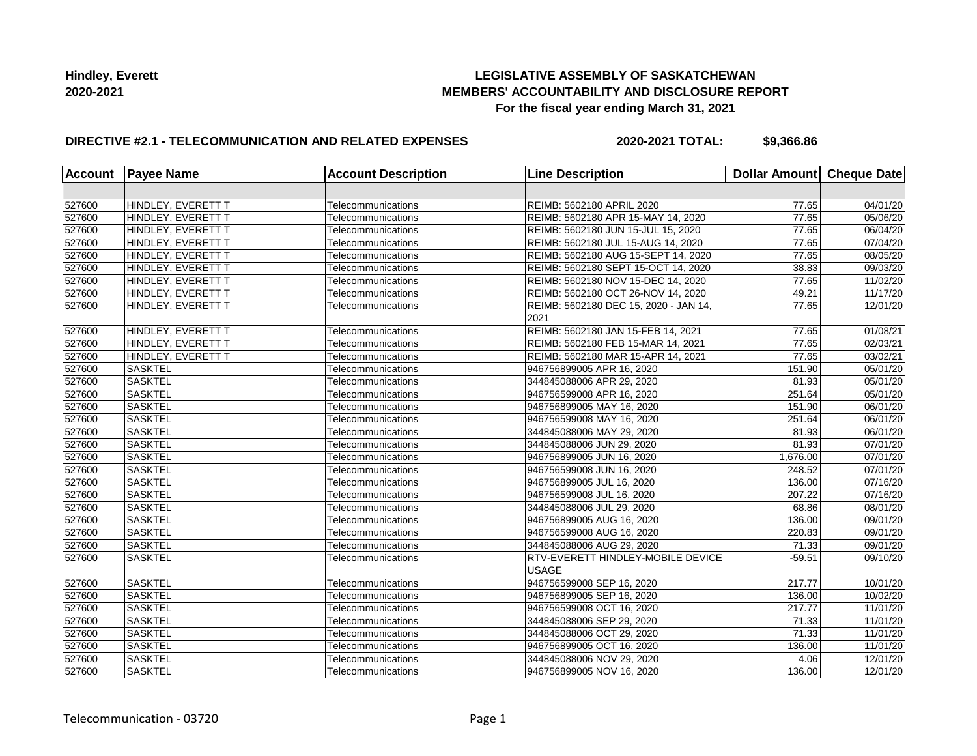# **LEGISLATIVE ASSEMBLY OF SASKATCHEWAN MEMBERS' ACCOUNTABILITY AND DISCLOSURE REPORT For the fiscal year ending March 31, 2021**

# **DIRECTIVE #2.1 - TELECOMMUNICATION AND RELATED EXPENSES**

**2020-2021 TOTAL: \$9,366.86**

| <b>Account</b> | <b>Payee Name</b>  | <b>Account Description</b> | <b>Line Description</b>                           | Dollar Amount Cheque Date |          |
|----------------|--------------------|----------------------------|---------------------------------------------------|---------------------------|----------|
|                |                    |                            |                                                   |                           |          |
| 527600         | HINDLEY, EVERETT T | Telecommunications         | REIMB: 5602180 APRIL 2020                         | 77.65                     | 04/01/20 |
| 527600         | HINDLEY, EVERETT T | Telecommunications         | REIMB: 5602180 APR 15-MAY 14, 2020                | 77.65                     | 05/06/20 |
| 527600         | HINDLEY, EVERETT T | Telecommunications         | REIMB: 5602180 JUN 15-JUL 15, 2020                | 77.65                     | 06/04/20 |
| 527600         | HINDLEY, EVERETT T | Telecommunications         | REIMB: 5602180 JUL 15-AUG 14, 2020                | 77.65                     | 07/04/20 |
| 527600         | HINDLEY, EVERETT T | Telecommunications         | REIMB: 5602180 AUG 15-SEPT 14, 2020               | 77.65                     | 08/05/20 |
| 527600         | HINDLEY, EVERETT T | Telecommunications         | REIMB: 5602180 SEPT 15-OCT 14, 2020               | 38.83                     | 09/03/20 |
| 527600         | HINDLEY, EVERETT T | Telecommunications         | REIMB: 5602180 NOV 15-DEC 14, 2020                | 77.65                     | 11/02/20 |
| 527600         | HINDLEY, EVERETT T | Telecommunications         | REIMB: 5602180 OCT 26-NOV 14, 2020                | 49.21                     | 11/17/20 |
| 527600         | HINDLEY, EVERETT T | Telecommunications         | REIMB: 5602180 DEC 15, 2020 - JAN 14,<br>2021     | 77.65                     | 12/01/20 |
| 527600         | HINDLEY, EVERETT T | Telecommunications         | REIMB: 5602180 JAN 15-FEB 14, 2021                | 77.65                     | 01/08/21 |
| 527600         | HINDLEY, EVERETT T | Telecommunications         | REIMB: 5602180 FEB 15-MAR 14, 2021                | 77.65                     | 02/03/21 |
| 527600         | HINDLEY, EVERETT T | Telecommunications         | REIMB: 5602180 MAR 15-APR 14, 2021                | 77.65                     | 03/02/21 |
| 527600         | <b>SASKTEL</b>     | Telecommunications         | 946756899005 APR 16, 2020                         | 151.90                    | 05/01/20 |
| 527600         | <b>SASKTEL</b>     | Telecommunications         | 344845088006 APR 29, 2020                         | 81.93                     | 05/01/20 |
| 527600         | <b>SASKTEL</b>     | Telecommunications         | 946756599008 APR 16, 2020                         | 251.64                    | 05/01/20 |
| 527600         | <b>SASKTEL</b>     | Telecommunications         | 946756899005 MAY 16, 2020                         | 151.90                    | 06/01/20 |
| 527600         | <b>SASKTEL</b>     | Telecommunications         | 946756599008 MAY 16, 2020                         | 251.64                    | 06/01/20 |
| 527600         | <b>SASKTEL</b>     | Telecommunications         | 344845088006 MAY 29, 2020                         | 81.93                     | 06/01/20 |
| 527600         | <b>SASKTEL</b>     | Telecommunications         | 344845088006 JUN 29, 2020                         | 81.93                     | 07/01/20 |
| 527600         | <b>SASKTEL</b>     | Telecommunications         | 946756899005 JUN 16, 2020                         | 1,676.00                  | 07/01/20 |
| 527600         | <b>SASKTEL</b>     | Telecommunications         | 946756599008 JUN 16, 2020                         | 248.52                    | 07/01/20 |
| 527600         | <b>SASKTEL</b>     | Telecommunications         | 946756899005 JUL 16, 2020                         | 136.00                    | 07/16/20 |
| 527600         | <b>SASKTEL</b>     | Telecommunications         | 946756599008 JUL 16, 2020                         | 207.22                    | 07/16/20 |
| 527600         | <b>SASKTEL</b>     | Telecommunications         | 344845088006 JUL 29, 2020                         | 68.86                     | 08/01/20 |
| 527600         | <b>SASKTEL</b>     | Telecommunications         | 946756899005 AUG 16, 2020                         | 136.00                    | 09/01/20 |
| 527600         | <b>SASKTEL</b>     | Telecommunications         | 946756599008 AUG 16, 2020                         | 220.83                    | 09/01/20 |
| 527600         | <b>SASKTEL</b>     | Telecommunications         | 344845088006 AUG 29, 2020                         | 71.33                     | 09/01/20 |
| 527600         | <b>SASKTEL</b>     | Telecommunications         | RTV-EVERETT HINDLEY-MOBILE DEVICE<br><b>USAGE</b> | $-59.51$                  | 09/10/20 |
| 527600         | <b>SASKTEL</b>     | Telecommunications         | 946756599008 SEP 16, 2020                         | 217.77                    | 10/01/20 |
| 527600         | <b>SASKTEL</b>     | Telecommunications         | 946756899005 SEP 16, 2020                         | 136.00                    | 10/02/20 |
| 527600         | <b>SASKTEL</b>     | Telecommunications         | 946756599008 OCT 16, 2020                         | 217.77                    | 11/01/20 |
| 527600         | <b>SASKTEL</b>     | Telecommunications         | 344845088006 SEP 29, 2020                         | 71.33                     | 11/01/20 |
| 527600         | <b>SASKTEL</b>     | Telecommunications         | 344845088006 OCT 29, 2020                         | 71.33                     | 11/01/20 |
| 527600         | <b>SASKTEL</b>     | Telecommunications         | 946756899005 OCT 16, 2020                         | 136.00                    | 11/01/20 |
| 527600         | <b>SASKTEL</b>     | Telecommunications         | 344845088006 NOV 29, 2020                         | 4.06                      | 12/01/20 |
| 527600         | <b>SASKTEL</b>     | Telecommunications         | 946756899005 NOV 16, 2020                         | 136.00                    | 12/01/20 |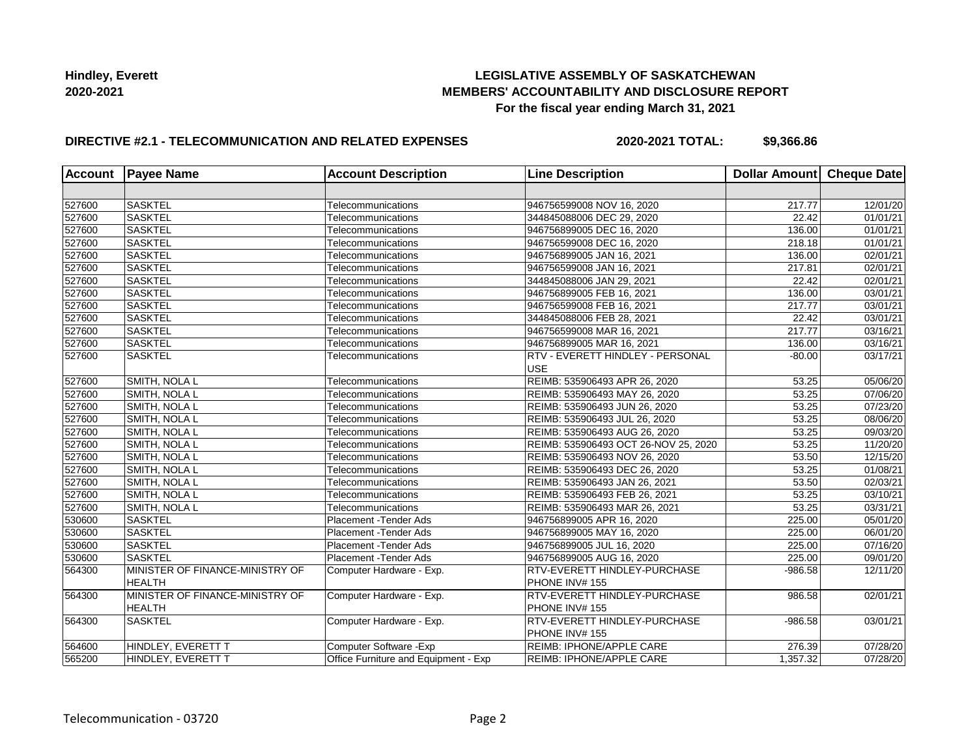# **LEGISLATIVE ASSEMBLY OF SASKATCHEWAN MEMBERS' ACCOUNTABILITY AND DISCLOSURE REPORT For the fiscal year ending March 31, 2021**

# **DIRECTIVE #2.1 - TELECOMMUNICATION AND RELATED EXPENSES**

**2020-2021 TOTAL: \$9,366.86**

| <b>Account</b> | <b>Payee Name</b>                                | <b>Account Description</b>           | <b>Line Description</b>                        | Dollar Amount Cheque Date |                       |
|----------------|--------------------------------------------------|--------------------------------------|------------------------------------------------|---------------------------|-----------------------|
|                |                                                  |                                      |                                                |                           |                       |
| 527600         | <b>SASKTEL</b>                                   | Telecommunications                   | 946756599008 NOV 16, 2020                      | 217.77                    | 12/01/20              |
| 527600         | SASKTEL                                          | Telecommunications                   | 344845088006 DEC 29, 2020                      | 22.42                     | 01/01/21              |
| 527600         | <b>SASKTEL</b>                                   | Telecommunications                   | 946756899005 DEC 16, 2020                      | 136.00                    | 01/01/21              |
| 527600         | <b>SASKTEL</b>                                   | Telecommunications                   | 946756599008 DEC 16, 2020                      | 218.18                    | 01/01/21              |
| 527600         | SASKTEL                                          | Telecommunications                   | 946756899005 JAN 16, 2021                      | 136.00                    | 02/01/21              |
| 527600         | <b>SASKTEL</b>                                   | Telecommunications                   | 946756599008 JAN 16, 2021                      | 217.81                    | 02/01/21              |
| 527600         | <b>SASKTEL</b>                                   | Telecommunications                   | 344845088006 JAN 29, 2021                      | 22.42                     | 02/01/21              |
| 527600         | <b>SASKTEL</b>                                   | Telecommunications                   | 946756899005 FEB 16, 2021                      | 136.00                    | 03/01/21              |
| 527600         | <b>SASKTEL</b>                                   | Telecommunications                   | 946756599008 FEB 16, 2021                      | 217.77                    | $\overline{03}/01/21$ |
| 527600         | <b>SASKTEL</b>                                   | Telecommunications                   | 344845088006 FEB 28, 2021                      | 22.42                     | 03/01/21              |
| 527600         | <b>SASKTEL</b>                                   | Telecommunications                   | 946756599008 MAR 16, 2021                      | 217.77                    | 03/16/21              |
| 527600         | SASKTEL                                          | Telecommunications                   | 946756899005 MAR 16, 2021                      | 136.00                    | $\overline{03/16/21}$ |
| 527600         | <b>SASKTEL</b>                                   | Telecommunications                   | RTV - EVERETT HINDLEY - PERSONAL<br><b>USE</b> | $-80.00$                  | $\overline{03/17/21}$ |
| 527600         | SMITH, NOLA L                                    | Telecommunications                   | REIMB: 535906493 APR 26, 2020                  | 53.25                     | 05/06/20              |
| 527600         | SMITH, NOLA L                                    | Telecommunications                   | REIMB: 535906493 MAY 26, 2020                  | 53.25                     | 07/06/20              |
| 527600         | SMITH, NOLA L                                    | Telecommunications                   | REIMB: 535906493 JUN 26, 2020                  | 53.25                     | 07/23/20              |
| 527600         | SMITH, NOLA L                                    | Telecommunications                   | REIMB: 535906493 JUL 26, 2020                  | 53.25                     | 08/06/20              |
| 527600         | SMITH, NOLA L                                    | Telecommunications                   | REIMB: 535906493 AUG 26, 2020                  | $\overline{53.25}$        | 09/03/20              |
| 527600         | <b>SMITH, NOLA L</b>                             | Telecommunications                   | REIMB: 535906493 OCT 26-NOV 25, 2020           | 53.25                     | 11/20/20              |
| 527600         | SMITH, NOLA L                                    | Telecommunications                   | REIMB: 535906493 NOV 26, 2020                  | 53.50                     | 12/15/20              |
| 527600         | <b>SMITH, NOLA L</b>                             | Telecommunications                   | REIMB: 535906493 DEC 26, 2020                  | 53.25                     | $\overline{01}/08/21$ |
| 527600         | SMITH, NOLA L                                    | Telecommunications                   | REIMB: 535906493 JAN 26, 2021                  | 53.50                     | $\overline{02/03/21}$ |
| 527600         | SMITH, NOLA L                                    | Telecommunications                   | REIMB: 535906493 FEB 26, 2021                  | 53.25                     | 03/10/21              |
| 527600         | SMITH, NOLA L                                    | Telecommunications                   | REIMB: 535906493 MAR 26, 2021                  | 53.25                     | 03/31/21              |
| 530600         | <b>SASKTEL</b>                                   | Placement - Tender Ads               | 946756899005 APR 16, 2020                      | 225.00                    | 05/01/20              |
| 530600         | <b>SASKTEL</b>                                   | Placement - Tender Ads               | 946756899005 MAY 16, 2020                      | 225.00                    | 06/01/20              |
| 530600         | <b>SASKTEL</b>                                   | Placement - Tender Ads               | 946756899005 JUL 16, 2020                      | 225.00                    | 07/16/20              |
| 530600         | <b>SASKTEL</b>                                   | Placement - Tender Ads               | 946756899005 AUG 16, 2020                      | 225.00                    | 09/01/20              |
| 564300         | MINISTER OF FINANCE-MINISTRY OF<br><b>HEALTH</b> | Computer Hardware - Exp.             | RTV-EVERETT HINDLEY-PURCHASE<br>PHONE INV# 155 | $-986.58$                 | 12/11/20              |
| 564300         | MINISTER OF FINANCE-MINISTRY OF                  | Computer Hardware - Exp.             | <b>RTV-EVERETT HINDLEY-PURCHASE</b>            | 986.58                    | 02/01/21              |
|                | <b>HEALTH</b>                                    |                                      | PHONE INV# 155                                 |                           |                       |
| 564300         | <b>SASKTEL</b>                                   | Computer Hardware - Exp.             | <b>RTV-EVERETT HINDLEY-PURCHASE</b>            | $-986.58$                 | 03/01/21              |
|                |                                                  |                                      | PHONE INV# 155                                 |                           |                       |
| 564600         | HINDLEY, EVERETT T                               | Computer Software - Exp              | <b>REIMB: IPHONE/APPLE CARE</b>                | 276.39                    | 07/28/20              |
| 565200         | HINDLEY. EVERETT T                               | Office Furniture and Equipment - Exp | <b>REIMB: IPHONE/APPLE CARE</b>                | 1,357.32                  | 07/28/20              |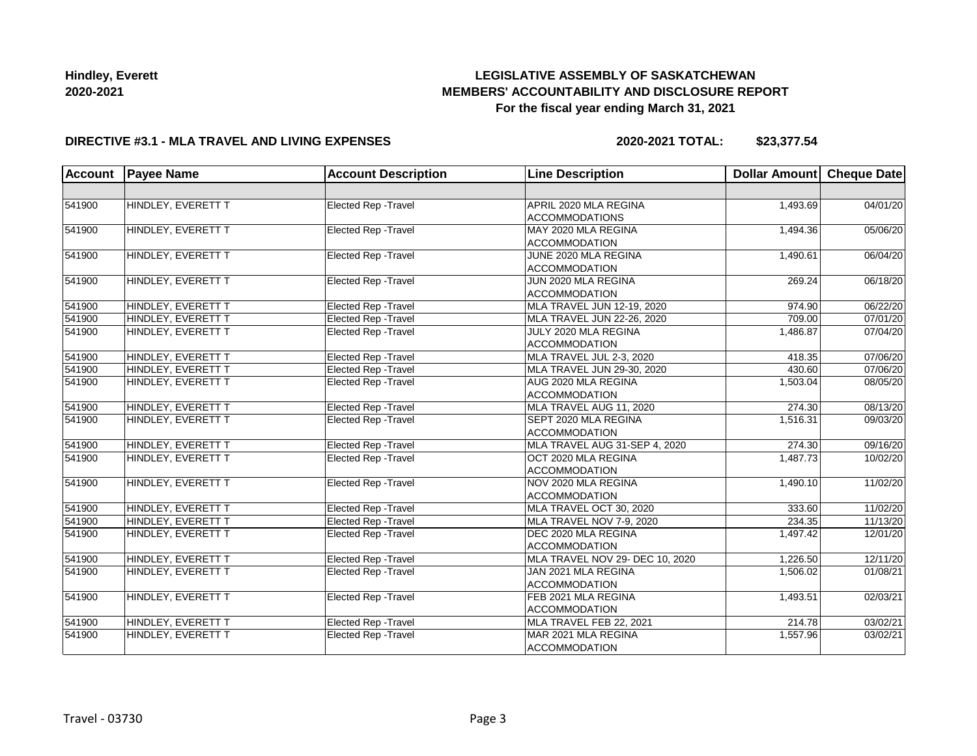# **LEGISLATIVE ASSEMBLY OF SASKATCHEWAN MEMBERS' ACCOUNTABILITY AND DISCLOSURE REPORT For the fiscal year ending March 31, 2021**

### **DIRECTIVE #3.1 - MLA TRAVEL AND LIVING EXPENSES**

**2020-2021 TOTAL: \$23,377.54**

| <b>Account</b> | <b>Payee Name</b>         | <b>Account Description</b>  | <b>Line Description</b>                        | Dollar Amount Cheque Date |          |
|----------------|---------------------------|-----------------------------|------------------------------------------------|---------------------------|----------|
|                |                           |                             |                                                |                           |          |
| 541900         | HINDLEY, EVERETT T        | Elected Rep - Travel        | APRIL 2020 MLA REGINA<br><b>ACCOMMODATIONS</b> | 1,493.69                  | 04/01/20 |
| 541900         | <b>HINDLEY, EVERETT T</b> | <b>Elected Rep - Travel</b> | MAY 2020 MLA REGINA<br><b>ACCOMMODATION</b>    | 1,494.36                  | 05/06/20 |
| 541900         | HINDLEY, EVERETT T        | <b>Elected Rep - Travel</b> | JUNE 2020 MLA REGINA<br><b>ACCOMMODATION</b>   | 1,490.61                  | 06/04/20 |
| 541900         | HINDLEY, EVERETT T        | <b>Elected Rep - Travel</b> | JUN 2020 MLA REGINA<br><b>ACCOMMODATION</b>    | 269.24                    | 06/18/20 |
| 541900         | HINDLEY, EVERETT T        | Elected Rep - Travel        | MLA TRAVEL JUN 12-19, 2020                     | 974.90                    | 06/22/20 |
| 541900         | HINDLEY, EVERETT T        | Elected Rep - Travel        | MLA TRAVEL JUN 22-26, 2020                     | 709.00                    | 07/01/20 |
| 541900         | HINDLEY, EVERETT T        | <b>Elected Rep - Travel</b> | JULY 2020 MLA REGINA<br><b>ACCOMMODATION</b>   | 1.486.87                  | 07/04/20 |
| 541900         | HINDLEY, EVERETT T        | Elected Rep - Travel        | MLA TRAVEL JUL 2-3, 2020                       | 418.35                    | 07/06/20 |
| 541900         | HINDLEY, EVERETT T        | Elected Rep - Travel        | MLA TRAVEL JUN 29-30, 2020                     | 430.60                    | 07/06/20 |
| 541900         | HINDLEY, EVERETT T        | Elected Rep - Travel        | AUG 2020 MLA REGINA<br><b>ACCOMMODATION</b>    | 1,503.04                  | 08/05/20 |
| 541900         | HINDLEY, EVERETT T        | <b>Elected Rep - Travel</b> | MLA TRAVEL AUG 11, 2020                        | 274.30                    | 08/13/20 |
| 541900         | HINDLEY, EVERETT T        | <b>Elected Rep - Travel</b> | SEPT 2020 MLA REGINA<br><b>ACCOMMODATION</b>   | 1,516.31                  | 09/03/20 |
| 541900         | HINDLEY, EVERETT T        | Elected Rep - Travel        | MLA TRAVEL AUG 31-SEP 4, 2020                  | 274.30                    | 09/16/20 |
| 541900         | HINDLEY, EVERETT T        | Elected Rep - Travel        | OCT 2020 MLA REGINA<br>ACCOMMODATION           | 1,487.73                  | 10/02/20 |
| 541900         | HINDLEY, EVERETT T        | Elected Rep - Travel        | NOV 2020 MLA REGINA<br><b>ACCOMMODATION</b>    | 1,490.10                  | 11/02/20 |
| 541900         | HINDLEY, EVERETT T        | Elected Rep - Travel        | MLA TRAVEL OCT 30, 2020                        | 333.60                    | 11/02/20 |
| 541900         | HINDLEY, EVERETT T        | Elected Rep - Travel        | MLA TRAVEL NOV 7-9, 2020                       | 234.35                    | 11/13/20 |
| 541900         | HINDLEY, EVERETT T        | Elected Rep - Travel        | DEC 2020 MLA REGINA<br><b>ACCOMMODATION</b>    | 1,497.42                  | 12/01/20 |
| 541900         | HINDLEY, EVERETT T        | Elected Rep - Travel        | MLA TRAVEL NOV 29- DEC 10, 2020                | 1,226.50                  | 12/11/20 |
| 541900         | HINDLEY, EVERETT T        | <b>Elected Rep - Travel</b> | JAN 2021 MLA REGINA<br><b>ACCOMMODATION</b>    | 1,506.02                  | 01/08/21 |
| 541900         | HINDLEY, EVERETT T        | Elected Rep - Travel        | FEB 2021 MLA REGINA<br><b>ACCOMMODATION</b>    | 1,493.51                  | 02/03/21 |
| 541900         | HINDLEY, EVERETT T        | Elected Rep - Travel        | MLA TRAVEL FEB 22, 2021                        | 214.78                    | 03/02/21 |
| 541900         | HINDLEY, EVERETT T        | Elected Rep - Travel        | MAR 2021 MLA REGINA<br><b>ACCOMMODATION</b>    | 1,557.96                  | 03/02/21 |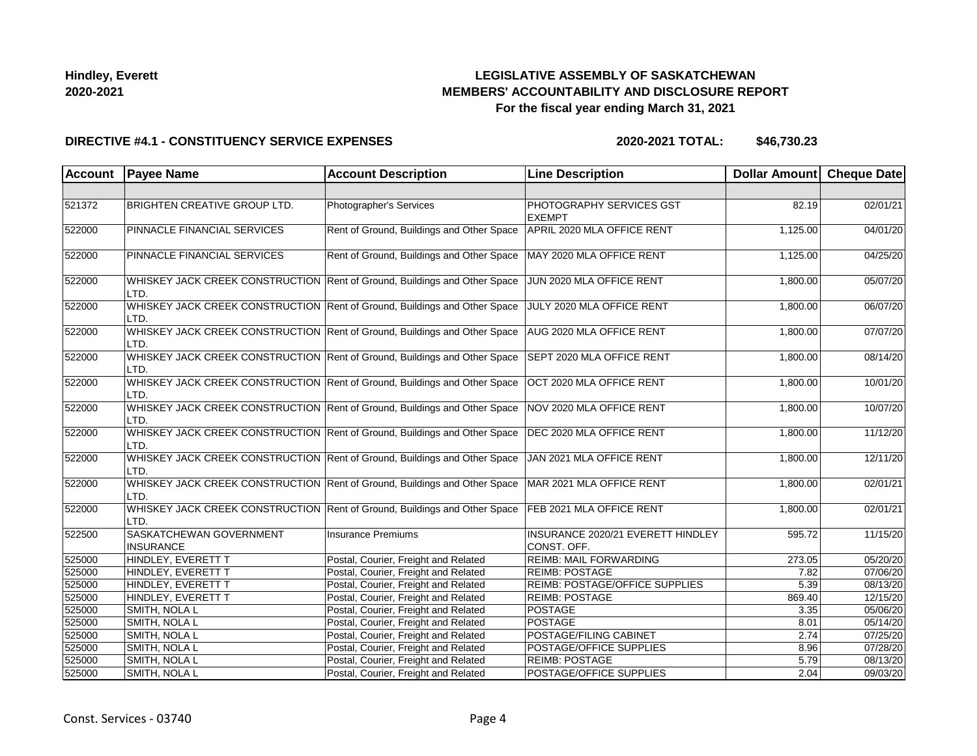# **LEGISLATIVE ASSEMBLY OF SASKATCHEWAN MEMBERS' ACCOUNTABILITY AND DISCLOSURE REPORT For the fiscal year ending March 31, 2021**

#### **DIRECTIVE #4.1 - CONSTITUENCY SERVICE EXPENSES**

| Account | <b>Payee Name</b>                           | <b>Account Description</b>                                                                          | <b>Line Description</b>                          | Dollar Amount Cheque Date |          |
|---------|---------------------------------------------|-----------------------------------------------------------------------------------------------------|--------------------------------------------------|---------------------------|----------|
|         |                                             |                                                                                                     |                                                  |                           |          |
| 521372  | <b>BRIGHTEN CREATIVE GROUP LTD.</b>         | Photographer's Services                                                                             | PHOTOGRAPHY SERVICES GST<br><b>EXEMPT</b>        | 82.19                     | 02/01/21 |
| 522000  | PINNACLE FINANCIAL SERVICES                 | Rent of Ground, Buildings and Other Space                                                           | APRIL 2020 MLA OFFICE RENT                       | 1,125.00                  | 04/01/20 |
| 522000  | PINNACLE FINANCIAL SERVICES                 | Rent of Ground, Buildings and Other Space                                                           | MAY 2020 MLA OFFICE RENT                         | 1,125.00                  | 04/25/20 |
| 522000  | LTD.                                        | WHISKEY JACK CREEK CONSTRUCTION Rent of Ground, Buildings and Other Space                           | JUN 2020 MLA OFFICE RENT                         | 1,800.00                  | 05/07/20 |
| 522000  | LTD.                                        | WHISKEY JACK CREEK CONSTRUCTION Rent of Ground, Buildings and Other Space                           | JULY 2020 MLA OFFICE RENT                        | 1,800.00                  | 06/07/20 |
| 522000  | LTD.                                        | WHISKEY JACK CREEK CONSTRUCTION Rent of Ground, Buildings and Other Space                           | AUG 2020 MLA OFFICE RENT                         | 1,800.00                  | 07/07/20 |
| 522000  | LTD.                                        | WHISKEY JACK CREEK CONSTRUCTION Rent of Ground, Buildings and Other Space SEPT 2020 MLA OFFICE RENT |                                                  | 1,800.00                  | 08/14/20 |
| 522000  | LTD.                                        | WHISKEY JACK CREEK CONSTRUCTION Rent of Ground, Buildings and Other Space                           | OCT 2020 MLA OFFICE RENT                         | 1,800.00                  | 10/01/20 |
| 522000  | LTD.                                        | WHISKEY JACK CREEK CONSTRUCTION Rent of Ground, Buildings and Other Space                           | NOV 2020 MLA OFFICE RENT                         | 1,800.00                  | 10/07/20 |
| 522000  | LTD.                                        | WHISKEY JACK CREEK CONSTRUCTION Rent of Ground, Buildings and Other Space                           | DEC 2020 MLA OFFICE RENT                         | 1,800.00                  | 11/12/20 |
| 522000  | LTD.                                        | WHISKEY JACK CREEK CONSTRUCTION Rent of Ground, Buildings and Other Space                           | JAN 2021 MLA OFFICE RENT                         | 1,800.00                  | 12/11/20 |
| 522000  | LTD.                                        | WHISKEY JACK CREEK CONSTRUCTION Rent of Ground, Buildings and Other Space                           | MAR 2021 MLA OFFICE RENT                         | 1,800.00                  | 02/01/21 |
| 522000  | LTD.                                        | WHISKEY JACK CREEK CONSTRUCTION Rent of Ground, Buildings and Other Space                           | FEB 2021 MLA OFFICE RENT                         | 1,800.00                  | 02/01/21 |
| 522500  | SASKATCHEWAN GOVERNMENT<br><b>INSURANCE</b> | Insurance Premiums                                                                                  | INSURANCE 2020/21 EVERETT HINDLEY<br>CONST. OFF. | 595.72                    | 11/15/20 |
| 525000  | HINDLEY, EVERETT T                          | Postal, Courier, Freight and Related                                                                | <b>REIMB: MAIL FORWARDING</b>                    | 273.05                    | 05/20/20 |
| 525000  | HINDLEY, EVERETT T                          | Postal, Courier, Freight and Related                                                                | <b>REIMB: POSTAGE</b>                            | 7.82                      | 07/06/20 |
| 525000  | HINDLEY, EVERETT T                          | Postal, Courier, Freight and Related                                                                | REIMB: POSTAGE/OFFICE SUPPLIES                   | 5.39                      | 08/13/20 |
| 525000  | HINDLEY, EVERETT T                          | Postal, Courier, Freight and Related                                                                | <b>REIMB: POSTAGE</b>                            | 869.40                    | 12/15/20 |
| 525000  | SMITH, NOLA L                               | Postal, Courier, Freight and Related                                                                | POSTAGE                                          | 3.35                      | 05/06/20 |
| 525000  | SMITH, NOLA L                               | Postal, Courier, Freight and Related                                                                | POSTAGE                                          | 8.01                      | 05/14/20 |
| 525000  | SMITH, NOLA L                               | Postal, Courier, Freight and Related                                                                | POSTAGE/FILING CABINET                           | 2.74                      | 07/25/20 |
| 525000  | SMITH, NOLA L                               | Postal, Courier, Freight and Related                                                                | POSTAGE/OFFICE SUPPLIES                          | 8.96                      | 07/28/20 |
| 525000  | SMITH, NOLA L                               | Postal, Courier, Freight and Related                                                                | <b>REIMB: POSTAGE</b>                            | 5.79                      | 08/13/20 |
| 525000  | SMITH, NOLA L                               | Postal, Courier, Freight and Related                                                                | POSTAGE/OFFICE SUPPLIES                          | 2.04                      | 09/03/20 |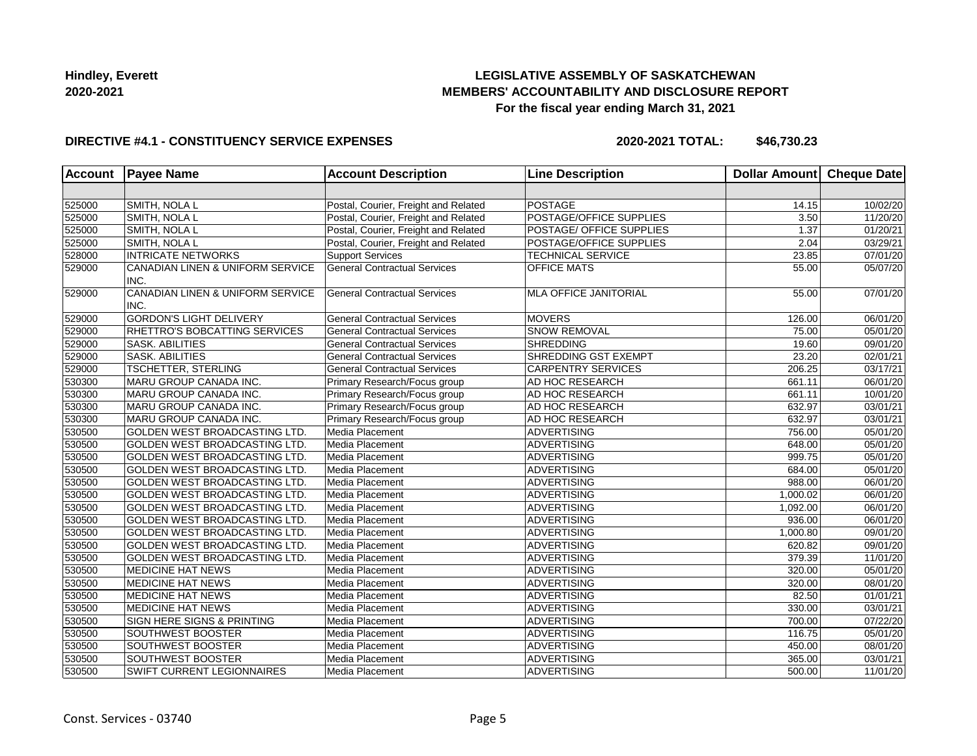# **LEGISLATIVE ASSEMBLY OF SASKATCHEWAN MEMBERS' ACCOUNTABILITY AND DISCLOSURE REPORT For the fiscal year ending March 31, 2021**

### **DIRECTIVE #4.1 - CONSTITUENCY SERVICE EXPENSES**

| <b>Account</b> | <b>Payee Name</b>                        | <b>Account Description</b>           | <b>Line Description</b>      | Dollar Amount Cheque Date |          |
|----------------|------------------------------------------|--------------------------------------|------------------------------|---------------------------|----------|
|                |                                          |                                      |                              |                           |          |
| 525000         | SMITH, NOLA L                            | Postal, Courier, Freight and Related | POSTAGE                      | 14.15                     | 10/02/20 |
| 525000         | SMITH, NOLA L                            | Postal, Courier, Freight and Related | POSTAGE/OFFICE SUPPLIES      | 3.50                      | 11/20/20 |
| 525000         | SMITH, NOLA L                            | Postal, Courier, Freight and Related | POSTAGE/ OFFICE SUPPLIES     | 1.37                      | 01/20/21 |
| 525000         | SMITH, NOLA L                            | Postal, Courier, Freight and Related | POSTAGE/OFFICE SUPPLIES      | 2.04                      | 03/29/21 |
| 528000         | <b>INTRICATE NETWORKS</b>                | <b>Support Services</b>              | <b>TECHNICAL SERVICE</b>     | 23.85                     | 07/01/20 |
| 529000         | CANADIAN LINEN & UNIFORM SERVICE<br>INC. | <b>General Contractual Services</b>  | <b>OFFICE MATS</b>           | 55.00                     | 05/07/20 |
| 529000         | CANADIAN LINEN & UNIFORM SERVICE<br>INC. | <b>General Contractual Services</b>  | <b>MLA OFFICE JANITORIAL</b> | 55.00                     | 07/01/20 |
| 529000         | <b>GORDON'S LIGHT DELIVERY</b>           | <b>General Contractual Services</b>  | <b>MOVERS</b>                | 126.00                    | 06/01/20 |
| 529000         | RHETTRO'S BOBCATTING SERVICES            | <b>General Contractual Services</b>  | <b>SNOW REMOVAL</b>          | 75.00                     | 05/01/20 |
| 529000         | SASK. ABILITIES                          | <b>General Contractual Services</b>  | <b>SHREDDING</b>             | 19.60                     | 09/01/20 |
| 529000         | <b>SASK. ABILITIES</b>                   | <b>General Contractual Services</b>  | SHREDDING GST EXEMPT         | 23.20                     | 02/01/21 |
| 529000         | TSCHETTER, STERLING                      | <b>General Contractual Services</b>  | <b>CARPENTRY SERVICES</b>    | 206.25                    | 03/17/21 |
| 530300         | MARU GROUP CANADA INC.                   | Primary Research/Focus group         | <b>AD HOC RESEARCH</b>       | 661.11                    | 06/01/20 |
| 530300         | MARU GROUP CANADA INC.                   | Primary Research/Focus group         | <b>AD HOC RESEARCH</b>       | 661.11                    | 10/01/20 |
| 530300         | MARU GROUP CANADA INC.                   | Primary Research/Focus group         | AD HOC RESEARCH              | 632.97                    | 03/01/21 |
| 530300         | MARU GROUP CANADA INC.                   | Primary Research/Focus group         | AD HOC RESEARCH              | 632.97                    | 03/01/21 |
| 530500         | GOLDEN WEST BROADCASTING LTD.            | Media Placement                      | ADVERTISING                  | 756.00                    | 05/01/20 |
| 530500         | GOLDEN WEST BROADCASTING LTD.            | Media Placement                      | ADVERTISING                  | 648.00                    | 05/01/20 |
| 530500         | GOLDEN WEST BROADCASTING LTD.            | Media Placement                      | ADVERTISING                  | 999.75                    | 05/01/20 |
| 530500         | GOLDEN WEST BROADCASTING LTD.            | Media Placement                      | ADVERTISING                  | 684.00                    | 05/01/20 |
| 530500         | GOLDEN WEST BROADCASTING LTD.            | Media Placement                      | <b>ADVERTISING</b>           | 988.00                    | 06/01/20 |
| 530500         | GOLDEN WEST BROADCASTING LTD.            | Media Placement                      | <b>ADVERTISING</b>           | 1,000.02                  | 06/01/20 |
| 530500         | GOLDEN WEST BROADCASTING LTD.            | Media Placement                      | <b>ADVERTISING</b>           | 1,092.00                  | 06/01/20 |
| 530500         | GOLDEN WEST BROADCASTING LTD.            | Media Placement                      | ADVERTISING                  | 936.00                    | 06/01/20 |
| 530500         | GOLDEN WEST BROADCASTING LTD.            | Media Placement                      | ADVERTISING                  | 1,000.80                  | 09/01/20 |
| 530500         | GOLDEN WEST BROADCASTING LTD.            | Media Placement                      | <b>ADVERTISING</b>           | 620.82                    | 09/01/20 |
| 530500         | GOLDEN WEST BROADCASTING LTD.            | Media Placement                      | <b>ADVERTISING</b>           | 379.39                    | 11/01/20 |
| 530500         | <b>MEDICINE HAT NEWS</b>                 | Media Placement                      | <b>ADVERTISING</b>           | 320.00                    | 05/01/20 |
| 530500         | <b>MEDICINE HAT NEWS</b>                 | Media Placement                      | <b>ADVERTISING</b>           | 320.00                    | 08/01/20 |
| 530500         | <b>MEDICINE HAT NEWS</b>                 | Media Placement                      | ADVERTISING                  | 82.50                     | 01/01/21 |
| 530500         | <b>MEDICINE HAT NEWS</b>                 | Media Placement                      | <b>ADVERTISING</b>           | 330.00                    | 03/01/21 |
| 530500         | SIGN HERE SIGNS & PRINTING               | Media Placement                      | ADVERTISING                  | 700.00                    | 07/22/20 |
| 530500         | SOUTHWEST BOOSTER                        | Media Placement                      | <b>ADVERTISING</b>           | 116.75                    | 05/01/20 |
| 530500         | SOUTHWEST BOOSTER                        | Media Placement                      | <b>ADVERTISING</b>           | 450.00                    | 08/01/20 |
| 530500         | SOUTHWEST BOOSTER                        | Media Placement                      | <b>ADVERTISING</b>           | 365.00                    | 03/01/21 |
| 530500         | SWIFT CURRENT LEGIONNAIRES               | Media Placement                      | <b>ADVERTISING</b>           | 500.00                    | 11/01/20 |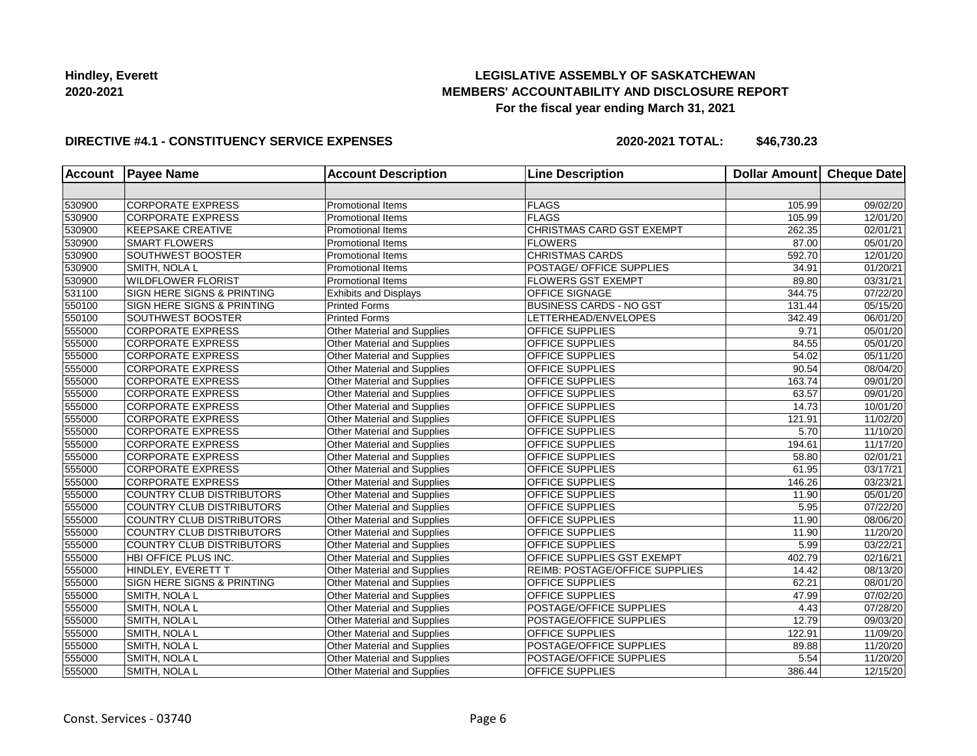# **LEGISLATIVE ASSEMBLY OF SASKATCHEWAN MEMBERS' ACCOUNTABILITY AND DISCLOSURE REPORT For the fiscal year ending March 31, 2021**

### **DIRECTIVE #4.1 - CONSTITUENCY SERVICE EXPENSES**

| <b>Account</b> | <b>Payee Name</b>                     | <b>Account Description</b>         | <b>Line Description</b>        | <b>Dollar Amount</b> | Cheque Date |
|----------------|---------------------------------------|------------------------------------|--------------------------------|----------------------|-------------|
|                |                                       |                                    |                                |                      |             |
| 530900         | <b>CORPORATE EXPRESS</b>              | <b>Promotional Items</b>           | FLAGS                          | 105.99               | 09/02/20    |
| 530900         | <b>CORPORATE EXPRESS</b>              | <b>Promotional Items</b>           | FLAGS                          | 105.99               | 12/01/20    |
| 530900         | <b>KEEPSAKE CREATIVE</b>              | <b>Promotional Items</b>           | CHRISTMAS CARD GST EXEMPT      | 262.35               | 02/01/21    |
| 530900         | <b>SMART FLOWERS</b>                  | <b>Promotional Items</b>           | <b>FLOWERS</b>                 | 87.00                | 05/01/20    |
| 530900         | <b>SOUTHWEST BOOSTER</b>              | <b>Promotional Items</b>           | <b>CHRISTMAS CARDS</b>         | 592.70               | 12/01/20    |
| 530900         | SMITH, NOLA L                         | <b>Promotional Items</b>           | POSTAGE/ OFFICE SUPPLIES       | 34.91                | 01/20/21    |
| 530900         | <b>WILDFLOWER FLORIST</b>             | <b>Promotional Items</b>           | <b>FLOWERS GST EXEMPT</b>      | 89.80                | 03/31/21    |
| 531100         | <b>SIGN HERE SIGNS &amp; PRINTING</b> | <b>Exhibits and Displays</b>       | <b>OFFICE SIGNAGE</b>          | 344.75               | 07/22/20    |
| 550100         | <b>SIGN HERE SIGNS &amp; PRINTING</b> | <b>Printed Forms</b>               | <b>BUSINESS CARDS - NO GST</b> | 131.44               | 05/15/20    |
| 550100         | SOUTHWEST BOOSTER                     | <b>Printed Forms</b>               | LETTERHEAD/ENVELOPES           | 342.49               | 06/01/20    |
| 555000         | <b>CORPORATE EXPRESS</b>              | Other Material and Supplies        | OFFICE SUPPLIES                | 9.71                 | 05/01/20    |
| 555000         | <b>CORPORATE EXPRESS</b>              | <b>Other Material and Supplies</b> | OFFICE SUPPLIES                | 84.55                | 05/01/20    |
| 555000         | <b>CORPORATE EXPRESS</b>              | Other Material and Supplies        | <b>OFFICE SUPPLIES</b>         | 54.02                | 05/11/20    |
| 555000         | <b>CORPORATE EXPRESS</b>              | Other Material and Supplies        | OFFICE SUPPLIES                | 90.54                | 08/04/20    |
| 555000         | <b>CORPORATE EXPRESS</b>              | Other Material and Supplies        | OFFICE SUPPLIES                | 163.74               | 09/01/20    |
| 555000         | <b>CORPORATE EXPRESS</b>              | Other Material and Supplies        | OFFICE SUPPLIES                | 63.57                | 09/01/20    |
| 555000         | <b>CORPORATE EXPRESS</b>              | Other Material and Supplies        | OFFICE SUPPLIES                | 14.73                | 10/01/20    |
| 555000         | <b>CORPORATE EXPRESS</b>              | Other Material and Supplies        | OFFICE SUPPLIES                | 121.91               | 11/02/20    |
| 555000         | <b>CORPORATE EXPRESS</b>              | Other Material and Supplies        | OFFICE SUPPLIES                | 5.70                 | 11/10/20    |
| 555000         | <b>CORPORATE EXPRESS</b>              | Other Material and Supplies        | OFFICE SUPPLIES                | 194.61               | 11/17/20    |
| 555000         | <b>CORPORATE EXPRESS</b>              | Other Material and Supplies        | OFFICE SUPPLIES                | 58.80                | 02/01/21    |
| 555000         | <b>CORPORATE EXPRESS</b>              | Other Material and Supplies        | OFFICE SUPPLIES                | 61.95                | 03/17/21    |
| 555000         | <b>CORPORATE EXPRESS</b>              | Other Material and Supplies        | OFFICE SUPPLIES                | 146.26               | 03/23/21    |
| 555000         | COUNTRY CLUB DISTRIBUTORS             | Other Material and Supplies        | OFFICE SUPPLIES                | 11.90                | 05/01/20    |
| 555000         | COUNTRY CLUB DISTRIBUTORS             | Other Material and Supplies        | OFFICE SUPPLIES                | 5.95                 | 07/22/20    |
| 555000         | COUNTRY CLUB DISTRIBUTORS             | Other Material and Supplies        | OFFICE SUPPLIES                | 11.90                | 08/06/20    |
| 555000         | <b>COUNTRY CLUB DISTRIBUTORS</b>      | Other Material and Supplies        | OFFICE SUPPLIES                | 11.90                | 11/20/20    |
| 555000         | COUNTRY CLUB DISTRIBUTORS             | Other Material and Supplies        | OFFICE SUPPLIES                | 5.99                 | 03/22/21    |
| 555000         | HBI OFFICE PLUS INC.                  | Other Material and Supplies        | OFFICE SUPPLIES GST EXEMPT     | 402.79               | 02/16/21    |
| 555000         | HINDLEY, EVERETT T                    | <b>Other Material and Supplies</b> | REIMB: POSTAGE/OFFICE SUPPLIES | 14.42                | 08/13/20    |
| 555000         | SIGN HERE SIGNS & PRINTING            | Other Material and Supplies        | OFFICE SUPPLIES                | 62.21                | 08/01/20    |
| 555000         | SMITH, NOLA L                         | Other Material and Supplies        | OFFICE SUPPLIES                | 47.99                | 07/02/20    |
| 555000         | SMITH, NOLA L                         | Other Material and Supplies        | POSTAGE/OFFICE SUPPLIES        | 4.43                 | 07/28/20    |
| 555000         | SMITH, NOLA L                         | <b>Other Material and Supplies</b> | <b>POSTAGE/OFFICE SUPPLIES</b> | 12.79                | 09/03/20    |
| 555000         | SMITH, NOLA L                         | Other Material and Supplies        | OFFICE SUPPLIES                | 122.91               | 11/09/20    |
| 555000         | SMITH, NOLA L                         | Other Material and Supplies        | POSTAGE/OFFICE SUPPLIES        | 89.88                | 11/20/20    |
| 555000         | SMITH, NOLA L                         | Other Material and Supplies        | POSTAGE/OFFICE SUPPLIES        | 5.54                 | 11/20/20    |
| 555000         | SMITH, NOLA L                         | Other Material and Supplies        | OFFICE SUPPLIES                | 386.44               | 12/15/20    |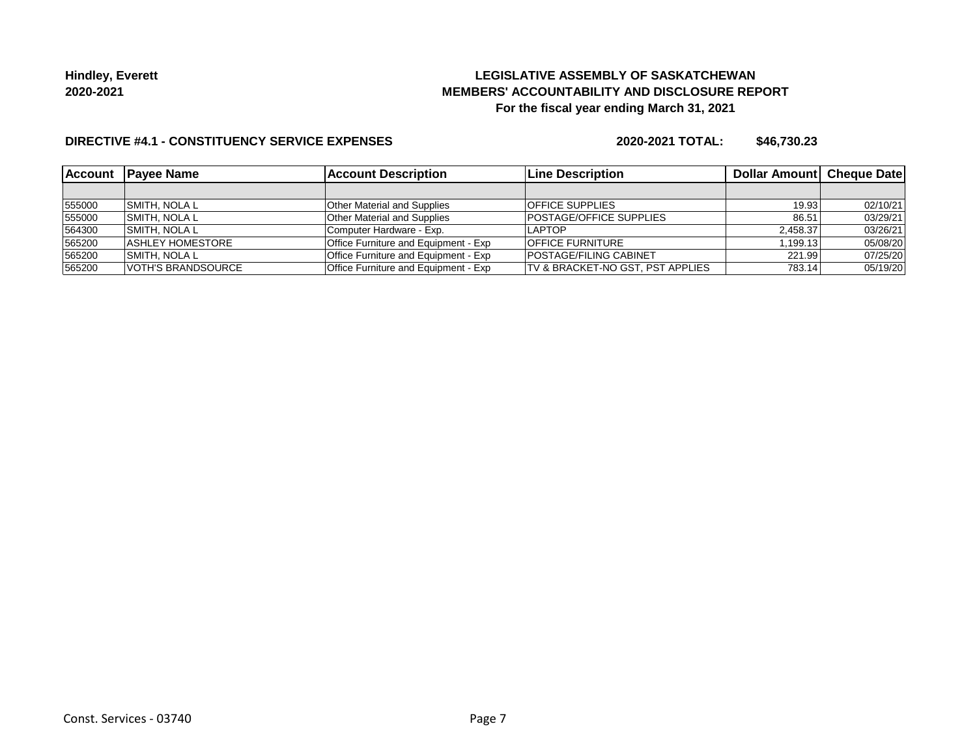# **LEGISLATIVE ASSEMBLY OF SASKATCHEWAN MEMBERS' ACCOUNTABILITY AND DISCLOSURE REPORT For the fiscal year ending March 31, 2021**

### **DIRECTIVE #4.1 - CONSTITUENCY SERVICE EXPENSES**

| <b>Account</b> | <b>Payee Name</b>         | <b>Account Description</b>                  | <b>Line Description</b>          | <b>Dollar Amountl Cheque Date</b> |          |
|----------------|---------------------------|---------------------------------------------|----------------------------------|-----------------------------------|----------|
|                |                           |                                             |                                  |                                   |          |
| 555000         | <b>SMITH, NOLA L</b>      | <b>Other Material and Supplies</b>          | <b>OFFICE SUPPLIES</b>           | 19.93                             | 02/10/21 |
| 555000         | <b>SMITH. NOLA L</b>      | <b>Other Material and Supplies</b>          | <b>IPOSTAGE/OFFICE SUPPLIES</b>  | 86.51                             | 03/29/21 |
| 564300         | <b>ISMITH. NOLA L</b>     | Computer Hardware - Exp.                    | I APTOP                          | 2.458.37                          | 03/26/21 |
| 565200         | <b>ASHLEY HOMESTORE</b>   | <b>Office Furniture and Equipment - Exp</b> | <b>OFFICE FURNITURE</b>          | 1.199.13                          | 05/08/20 |
| 565200         | <b>ISMITH. NOLA L</b>     | Office Furniture and Equipment - Exp        | <b>POSTAGE/FILING CABINET</b>    | 221.99                            | 07/25/20 |
| 565200         | <b>VOTH'S BRANDSOURCE</b> | Office Furniture and Equipment - Exp        | TV & BRACKET-NO GST, PST APPLIES | 783.14                            | 05/19/20 |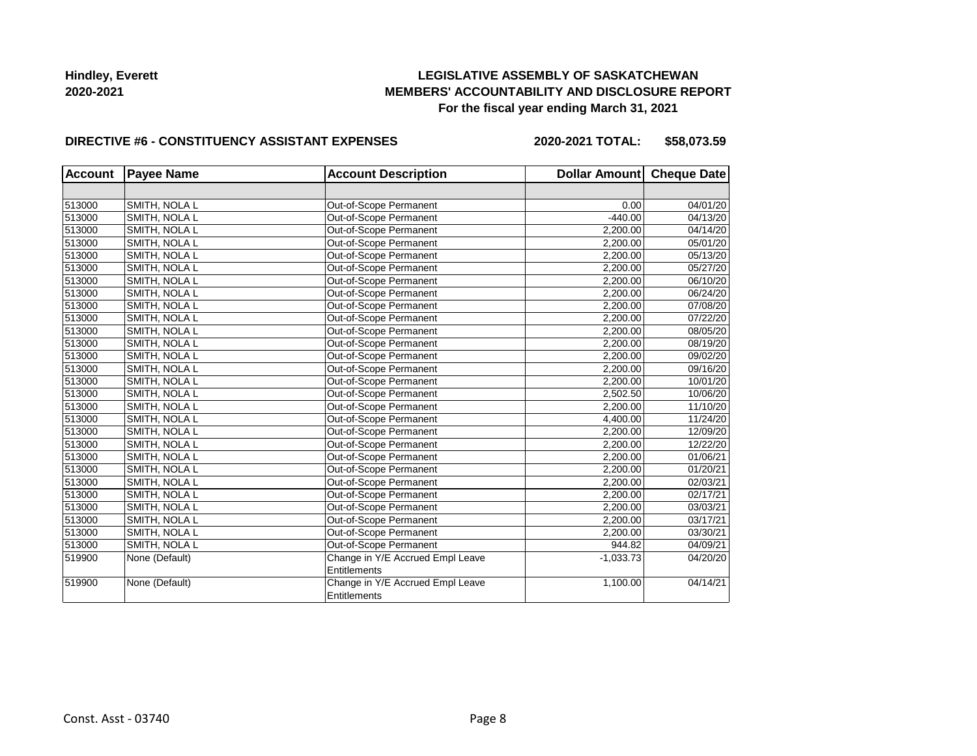# **LEGISLATIVE ASSEMBLY OF SASKATCHEWAN MEMBERS' ACCOUNTABILITY AND DISCLOSURE REPORT For the fiscal year ending March 31, 2021**

#### **DIRECTIVE #6 - CONSTITUENCY ASSISTANT EXPENSES**

**2020-2021 TOTAL: \$58,073.59**

| <b>Account</b> | <b>Payee Name</b> | <b>Account Description</b>       | Dollar Amount Cheque Date |          |
|----------------|-------------------|----------------------------------|---------------------------|----------|
|                |                   |                                  |                           |          |
| 513000         | SMITH, NOLA L     | Out-of-Scope Permanent           | 0.00                      | 04/01/20 |
| 513000         | SMITH, NOLA L     | Out-of-Scope Permanent           | $-440.00$                 | 04/13/20 |
| 513000         | SMITH, NOLA L     | Out-of-Scope Permanent           | 2,200.00                  | 04/14/20 |
| 513000         | SMITH, NOLA L     | Out-of-Scope Permanent           | 2,200.00                  | 05/01/20 |
| 513000         | SMITH, NOLA L     | Out-of-Scope Permanent           | 2,200.00                  | 05/13/20 |
| 513000         | SMITH, NOLA L     | Out-of-Scope Permanent           | 2,200.00                  | 05/27/20 |
| 513000         | SMITH, NOLA L     | Out-of-Scope Permanent           | 2,200.00                  | 06/10/20 |
| 513000         | SMITH, NOLA L     | Out-of-Scope Permanent           | 2,200.00                  | 06/24/20 |
| 513000         | SMITH, NOLA L     | Out-of-Scope Permanent           | 2,200.00                  | 07/08/20 |
| 513000         | SMITH, NOLA L     | Out-of-Scope Permanent           | 2,200.00                  | 07/22/20 |
| 513000         | SMITH, NOLA L     | Out-of-Scope Permanent           | 2,200.00                  | 08/05/20 |
| 513000         | SMITH, NOLA L     | Out-of-Scope Permanent           | 2,200.00                  | 08/19/20 |
| 513000         | SMITH, NOLA L     | Out-of-Scope Permanent           | 2,200.00                  | 09/02/20 |
| 513000         | SMITH, NOLA L     | Out-of-Scope Permanent           | 2,200.00                  | 09/16/20 |
| 513000         | SMITH, NOLA L     | Out-of-Scope Permanent           | 2,200.00                  | 10/01/20 |
| 513000         | SMITH, NOLA L     | Out-of-Scope Permanent           | 2,502.50                  | 10/06/20 |
| 513000         | SMITH, NOLA L     | Out-of-Scope Permanent           | 2,200.00                  | 11/10/20 |
| 513000         | SMITH, NOLA L     | Out-of-Scope Permanent           | 4,400.00                  | 11/24/20 |
| 513000         | SMITH, NOLA L     | Out-of-Scope Permanent           | 2,200.00                  | 12/09/20 |
| 513000         | SMITH, NOLA L     | Out-of-Scope Permanent           | 2,200.00                  | 12/22/20 |
| 513000         | SMITH, NOLA L     | Out-of-Scope Permanent           | 2,200.00                  | 01/06/21 |
| 513000         | SMITH, NOLA L     | Out-of-Scope Permanent           | 2,200.00                  | 01/20/21 |
| 513000         | SMITH, NOLA L     | Out-of-Scope Permanent           | 2,200.00                  | 02/03/21 |
| 513000         | SMITH, NOLA L     | Out-of-Scope Permanent           | 2,200.00                  | 02/17/21 |
| 513000         | SMITH, NOLA L     | Out-of-Scope Permanent           | 2,200.00                  | 03/03/21 |
| 513000         | SMITH, NOLA L     | Out-of-Scope Permanent           | 2,200.00                  | 03/17/21 |
| 513000         | SMITH, NOLA L     | Out-of-Scope Permanent           | 2,200.00                  | 03/30/21 |
| 513000         | SMITH, NOLA L     | Out-of-Scope Permanent           | 944.82                    | 04/09/21 |
| 519900         | None (Default)    | Change in Y/E Accrued Empl Leave | $-1,033.73$               | 04/20/20 |
|                |                   | <b>Entitlements</b>              |                           |          |
| 519900         | None (Default)    | Change in Y/E Accrued Empl Leave | 1,100.00                  | 04/14/21 |
|                |                   | Entitlements                     |                           |          |